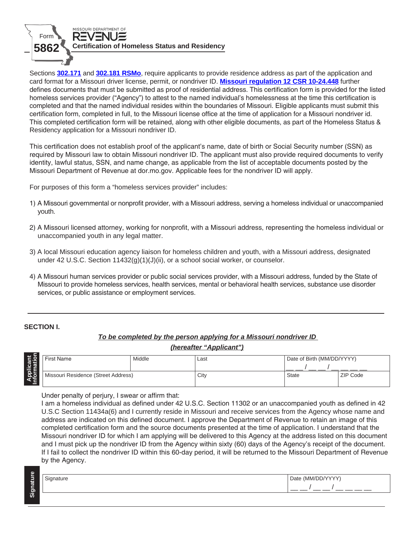

Sections **[302.171](https://revisor.mo.gov/main/OneSection.aspx?section=302.171)** and **[302.181 RSMo](https://revisor.mo.gov/main/OneSection.aspx?section=302.181)**, require applicants to provide residence address as part of the application and card format for a Missouri driver license, permit, or nondriver ID. **Mis[souri regulation 12 CSR 10-24.448](https://www.sos.mo.gov/CMSImages/AdRules/csr/current/12csr/12c10-24.pdf)** further defines documents that must be submitted as proof of residential address. This certification form is provided for the listed homeless services provider ("Agency") to attest to the named individual's homelessness at the time this certification is completed and that the named individual resides within the boundaries of Missouri. Eligible applicants must submit this certification form, completed in full, to the Missouri license office at the time of application for a Missouri nondriver id. This completed certification form will be retained, along with other eligible documents, as part of the Homeless Status & Residency application for a Missouri nondriver ID.

This certification does not establish proof of the applicant's name, date of birth or Social Security number (SSN) as required by Missouri law to obtain Missouri nondriver ID. The applicant must also provide required documents to verify identity, lawful status, SSN, and name change, as applicable from the list of acceptable documents posted by the Missouri Department of Revenue at dor.mo.gov. Applicable fees for the nondriver ID will apply.

For purposes of this form a "homeless services provider" includes:

- 1) A Missouri governmental or nonprofit provider, with a Missouri address, serving a homeless individual or unaccompanied youth.
- 2) A Missouri licensed attorney, working for nonprofit, with a Missouri address, representing the homeless individual or unaccompanied youth in any legal matter.
- 3) A local Missouri education agency liaison for homeless children and youth, with a Missouri address, designated under 42 U.S.C. Section 11432(g)(1)(J)(ii), or a school social worker, or counselor.
- 4) A Missouri human services provider or public social services provider, with a Missouri address, funded by the State of Missouri to provide homeless services, health services, mental or behavioral health services, substance use disorder services, or public assistance or employment services.

# **SECTION I.**

# *To be completed by the person applying for a Missouri nondriver ID (hereafter "Applicant")*

| cant<br>ation | First Name                          | Middle | Last | Date of Birth (MM/DD/YYYY) |          |
|---------------|-------------------------------------|--------|------|----------------------------|----------|
|               |                                     |        |      |                            |          |
| noi<br>N      | Missouri Residence (Street Address) |        | City | State                      | ZIP Code |
|               |                                     |        |      |                            |          |

Under penalty of perjury, I swear or affirm that:

I am a homeless individual as defined under 42 U.S.C. Section 11302 or an unaccompanied youth as defined in 42 U.S.C Section 11434a(6) and I currently reside in Missouri and receive services from the Agency whose name and address are indicated on this defined document. I approve the Department of Revenue to retain an image of this completed certification form and the source documents presented at the time of application. I understand that the Missouri nondriver ID for which I am applying will be delivered to this Agency at the address listed on this document and I must pick up the nondriver ID from the Agency within sixty (60) days of the Agency's receipt of the document. If I fail to collect the nondriver ID within this 60-day period, it will be returned to the Missouri Department of Revenue by the Agency.

| Φ<br>Ξ. | nature | $\sim$ $\sim$ $\sim$<br>⊃at⁄<br>NANAZ |  |
|---------|--------|---------------------------------------|--|
| ignati  |        |                                       |  |
| -<br>ဖာ |        |                                       |  |